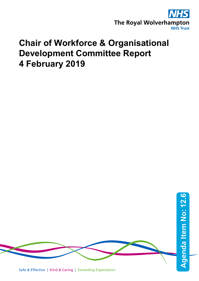

## **Chair of Workforce & Organisational Development Committee Report 4 February 2019**

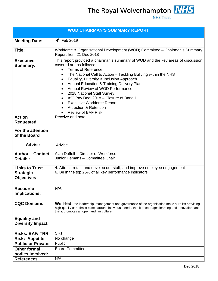The Royal Wolverhampton **NHS** 

| <b>WOD CHAIRMAN'S SUMMARY REPORT</b>                           |                                                                                                                                                                                                                                                                                                                                                                                                                                                                                                                                                                                                                                               |  |  |  |
|----------------------------------------------------------------|-----------------------------------------------------------------------------------------------------------------------------------------------------------------------------------------------------------------------------------------------------------------------------------------------------------------------------------------------------------------------------------------------------------------------------------------------------------------------------------------------------------------------------------------------------------------------------------------------------------------------------------------------|--|--|--|
| <b>Meeting Date:</b>                                           | $4^{th}$ Feb 2019                                                                                                                                                                                                                                                                                                                                                                                                                                                                                                                                                                                                                             |  |  |  |
| Title:                                                         | Workforce & Organisational Development (WOD) Committee - Chairman's Summary<br>Report from 21 Dec 2018                                                                                                                                                                                                                                                                                                                                                                                                                                                                                                                                        |  |  |  |
| <b>Executive</b><br><b>Summary:</b>                            | This report provided a chairman's summary of WOD and the key areas of discussion<br>covered are as follows:<br><b>Terms of Reference</b><br>$\bullet$<br>The National Call to Action - Tackling Bullying within the NHS<br>٠<br>Equality, Diversity & Inclusion Approach<br>$\bullet$<br><b>Annual Education &amp; Training Delivery Plan</b><br>$\bullet$<br>Annual Review of WOD Performance<br>$\bullet$<br>2018 National Staff Survey<br>$\bullet$<br>AfC Pay Deal 2018 - Closure of Band 1<br>$\bullet$<br><b>Executive Workforce Report</b><br>$\bullet$<br><b>Attraction &amp; Retention</b><br>$\bullet$<br><b>Review of BAF Risk</b> |  |  |  |
| <b>Action</b><br><b>Requested:</b>                             | Receive and note                                                                                                                                                                                                                                                                                                                                                                                                                                                                                                                                                                                                                              |  |  |  |
| For the attention<br>of the Board                              |                                                                                                                                                                                                                                                                                                                                                                                                                                                                                                                                                                                                                                               |  |  |  |
| <b>Advise</b>                                                  | Advise                                                                                                                                                                                                                                                                                                                                                                                                                                                                                                                                                                                                                                        |  |  |  |
| <b>Author + Contact</b><br><b>Details:</b>                     | Alan Duffell - Director of Workforce<br>Junior Hemans - Committee Chair                                                                                                                                                                                                                                                                                                                                                                                                                                                                                                                                                                       |  |  |  |
| <b>Links to Trust</b><br><b>Strategic</b><br><b>Objectives</b> | 4. Attract, retain and develop our staff, and improve employee engagement<br>6. Be in the top 25% of all key performance indicators                                                                                                                                                                                                                                                                                                                                                                                                                                                                                                           |  |  |  |
| <b>Resource</b><br>Implications:                               | N/A                                                                                                                                                                                                                                                                                                                                                                                                                                                                                                                                                                                                                                           |  |  |  |
| <b>CQC Domains</b>                                             | <b>Well-led:</b> the leadership, management and governance of the organisation make sure it's providing<br>high-quality care that's based around individual needs, that it encourages learning and innovation, and<br>that it promotes an open and fair culture.                                                                                                                                                                                                                                                                                                                                                                              |  |  |  |
| <b>Equality and</b><br><b>Diversity Impact</b>                 |                                                                                                                                                                                                                                                                                                                                                                                                                                                                                                                                                                                                                                               |  |  |  |
| <b>Risks: BAF/TRR</b>                                          | SR <sub>1</sub>                                                                                                                                                                                                                                                                                                                                                                                                                                                                                                                                                                                                                               |  |  |  |
| <b>Risk: Appetite</b>                                          | No change                                                                                                                                                                                                                                                                                                                                                                                                                                                                                                                                                                                                                                     |  |  |  |
| <b>Public or Private:</b>                                      | Public                                                                                                                                                                                                                                                                                                                                                                                                                                                                                                                                                                                                                                        |  |  |  |
| <b>Other formal</b><br>bodies involved:                        | <b>Board Committee</b>                                                                                                                                                                                                                                                                                                                                                                                                                                                                                                                                                                                                                        |  |  |  |
| <b>References</b>                                              | N/A                                                                                                                                                                                                                                                                                                                                                                                                                                                                                                                                                                                                                                           |  |  |  |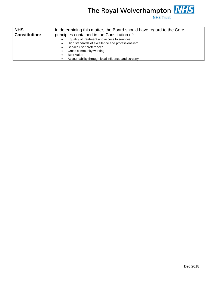

| <b>NHS</b>           | In determining this matter, the Board should have regard to the Core<br>principles contained in the Constitution of:                                                                                                                |  |  |  |  |
|----------------------|-------------------------------------------------------------------------------------------------------------------------------------------------------------------------------------------------------------------------------------|--|--|--|--|
| <b>Constitution:</b> |                                                                                                                                                                                                                                     |  |  |  |  |
|                      | Equality of treatment and access to services<br>High standards of excellence and professionalism<br>Service user preferences<br>Cross community working<br><b>Best Value</b><br>Accountability through local influence and scrutiny |  |  |  |  |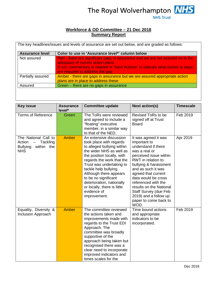

## **Workforce & OD Committee – 21 Dec 2018 Summary Report**

| <b>Assurance level</b> | Color to use in 'Assurance level*' column below                                                                                                                                                                                           |
|------------------------|-------------------------------------------------------------------------------------------------------------------------------------------------------------------------------------------------------------------------------------------|
| Not assured            | Red - there are significant gaps in assurance and we are not assured as to the<br>adequacy of current action plans<br>If red, commentary is needed in "Next Actions" to indicate what further is steps<br>are required to address the gap |
| Partially assured      | Amber - there are gaps in assurance but we are assured appropriate action<br>plans are in place to address these                                                                                                                          |
| Assured                | Green - there are no gaps in assurance                                                                                                                                                                                                    |

| <b>Key issue</b>                                                                          | <b>Assurance</b><br>level* | <b>Committee update</b>                                                                                                                                                                                                                                                                                                                                                   | <b>Next action(s)</b>                                                                                                                                                                                                                                                                                                                                          | <b>Timescale</b> |
|-------------------------------------------------------------------------------------------|----------------------------|---------------------------------------------------------------------------------------------------------------------------------------------------------------------------------------------------------------------------------------------------------------------------------------------------------------------------------------------------------------------------|----------------------------------------------------------------------------------------------------------------------------------------------------------------------------------------------------------------------------------------------------------------------------------------------------------------------------------------------------------------|------------------|
| <b>Terms of Reference</b>                                                                 | Green                      | The ToRs were reviewed<br>and agreed to include a<br>"floating" executive<br>member, in a similar way<br>to that of the NED.                                                                                                                                                                                                                                              | Revised ToRs to be<br>signed off at Trust<br><b>Board</b>                                                                                                                                                                                                                                                                                                      | Feb 2019         |
| The National Call to<br>Tackling<br>Action<br>within the<br><b>Bullying</b><br><b>NHS</b> | Amber                      | An extensive discussion<br>took place with regards<br>to alleged bullying within<br>the wider NHS as well as<br>the position locally, with<br>regards the work that the<br>Trust was undertaking to<br>tackle help bullying.<br>Although there appears<br>to be no significant<br>deterioration, nationally<br>or locally, there is little<br>evidence of<br>improvement. | It was agreed it was<br>important to<br>understand if there<br>was a real or<br>perceived issue within<br>RWT in relation to<br>bullying & harassment<br>and as such it was<br>agreed that current<br>data would be cross<br>referenced with the<br>results on the National<br>Staff Survey (due Feb<br>2019) and a follow up<br>paper to come back to<br>WOD. | Apr 2019         |
| Equality, Diversity &<br><b>Inclusion Approach</b>                                        | <b>Amber</b>               | The committee reviewed<br>the actions taken and<br>improvements made with<br>regards to the Trust EDI<br>Approach. The<br>committee was broadly<br>supportive of the<br>approach being taken but<br>recognised there was a<br>clear need to incorporate<br>improved indicators and<br>times scales for the                                                                | Time bound actions<br>and appropriate<br>indicators to be<br>incorporated.                                                                                                                                                                                                                                                                                     | Feb 2019         |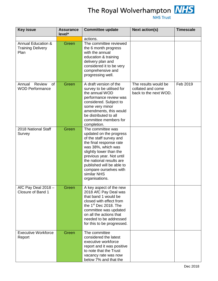

The Royal Wolverhampton **NHS** 

| <b>Key issue</b>                                                  | <b>Assurance</b><br>level* | <b>Committee update</b>                                                                                                                                                                                                                                                                             | <b>Next action(s)</b>                                              | <b>Timescale</b> |
|-------------------------------------------------------------------|----------------------------|-----------------------------------------------------------------------------------------------------------------------------------------------------------------------------------------------------------------------------------------------------------------------------------------------------|--------------------------------------------------------------------|------------------|
| <b>Annual Education &amp;</b><br><b>Training Delivery</b><br>Plan | Green                      | actions.<br>The committee reviewed<br>the 6 month progress<br>with the annual<br>education & training<br>delivery plan and<br>considered it to be very<br>comprehensive and<br>progressing well.                                                                                                    |                                                                    |                  |
| Review<br>Annual<br>0f<br><b>WOD Performance</b>                  | Green                      | A draft version of the<br>survey to be utilised for<br>the annual WOD<br>performance review was<br>considered. Subject to<br>some very minor<br>amendments, this would<br>be distributed to all<br>committee members for<br>completion.                                                             | The results would be<br>collated and come<br>back to the next WOD. | Feb 2019         |
| 2018 National Staff<br>Survey                                     | Green                      | The committee was<br>updated on the progress<br>of the staff survey and<br>the final response rate<br>was 38%, which was<br>slightly lower than the<br>previous year. Not until<br>the national results are<br>published will be able to<br>compare ourselves with<br>similar NHS<br>organisations. |                                                                    |                  |
| AfC Pay Deal 2018 -<br>Closure of Band 1                          | Green                      | A key aspect of the new<br>2018 AfC Pay Deal was<br>that band 1 would be<br>closed with effect from<br>the $1st$ Dec 2018. The<br>committee was updated<br>on all the actions that<br>needed to be addressed<br>for this to be progressed.                                                          |                                                                    |                  |
| <b>Executive Workforce</b><br>Report                              | Green                      | The committee<br>considered the latest<br>executive workforce<br>report and it was positive<br>to note that the Trust<br>vacancy rate was now<br>below 7% and that the                                                                                                                              |                                                                    |                  |